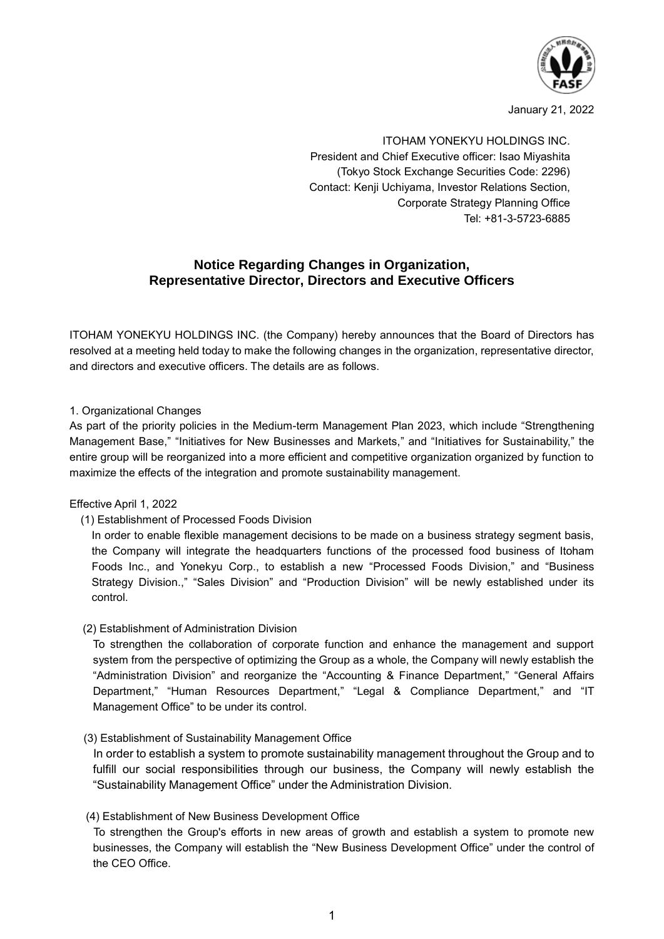

January 21, 2022

ITOHAM YONEKYU HOLDINGS INC. President and Chief Executive officer: Isao Miyashita (Tokyo Stock Exchange Securities Code: 2296) Contact: Kenji Uchiyama, Investor Relations Section, Corporate Strategy Planning Office Tel: +81-3-5723-6885

# **Notice Regarding Changes in Organization, Representative Director, Directors and Executive Officers**

ITOHAM YONEKYU HOLDINGS INC. (the Company) hereby announces that the Board of Directors has resolved at a meeting held today to make the following changes in the organization, representative director, and directors and executive officers. The details are as follows.

## 1. Organizational Changes

As part of the priority policies in the Medium-term Management Plan 2023, which include "Strengthening Management Base," "Initiatives for New Businesses and Markets," and "Initiatives for Sustainability," the entire group will be reorganized into a more efficient and competitive organization organized by function to maximize the effects of the integration and promote sustainability management.

#### Effective April 1, 2022

(1) Establishment of Processed Foods Division

In order to enable flexible management decisions to be made on a business strategy segment basis, the Company will integrate the headquarters functions of the processed food business of Itoham Foods Inc., and Yonekyu Corp., to establish a new "Processed Foods Division," and "Business Strategy Division.," "Sales Division" and "Production Division" will be newly established under its control.

#### (2) Establishment of Administration Division

To strengthen the collaboration of corporate function and enhance the management and support system from the perspective of optimizing the Group as a whole, the Company will newly establish the "Administration Division" and reorganize the "Accounting & Finance Department," "General Affairs Department," "Human Resources Department," "Legal & Compliance Department," and "IT Management Office" to be under its control.

#### (3) Establishment of Sustainability Management Office

In order to establish a system to promote sustainability management throughout the Group and to fulfill our social responsibilities through our business, the Company will newly establish the "Sustainability Management Office" under the Administration Division.

#### (4) Establishment of New Business Development Office

To strengthen the Group's efforts in new areas of growth and establish a system to promote new businesses, the Company will establish the "New Business Development Office" under the control of the CEO Office.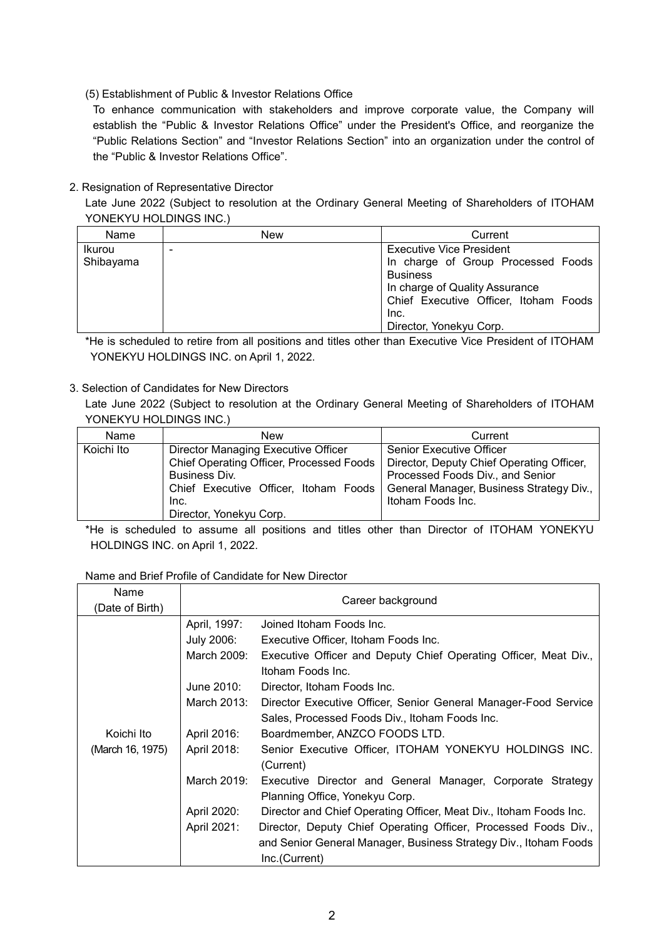## (5) Establishment of Public & Investor Relations Office

To enhance communication with stakeholders and improve corporate value, the Company will establish the "Public & Investor Relations Office" under the President's Office, and reorganize the "Public Relations Section" and "Investor Relations Section" into an organization under the control of the "Public & Investor Relations Office".

## 2. Resignation of Representative Director

Late June 2022 (Subject to resolution at the Ordinary General Meeting of Shareholders of ITOHAM YONEKYU HOLDINGS INC.)

| Name                       | New | Current                                                                                                                    |
|----------------------------|-----|----------------------------------------------------------------------------------------------------------------------------|
| <u>Ikurou</u><br>Shibayama | -   | <b>Executive Vice President</b><br>In charge of Group Processed Foods<br><b>Business</b><br>In charge of Quality Assurance |
|                            |     | Chief Executive Officer, Itoham Foods<br>Inc.<br>Director, Yonekyu Corp.                                                   |

\*He is scheduled to retire from all positions and titles other than Executive Vice President of ITOHAM YONEKYU HOLDINGS INC. on April 1, 2022.

## 3. Selection of Candidates for New Directors

Late June 2022 (Subject to resolution at the Ordinary General Meeting of Shareholders of ITOHAM YONEKYU HOLDINGS INC.)

| Name       | New                                                                              | Current                                   |
|------------|----------------------------------------------------------------------------------|-------------------------------------------|
| Koichi Ito | Director Managing Executive Officer                                              | Senior Executive Officer                  |
|            | Chief Operating Officer, Processed Foods                                         | Director, Deputy Chief Operating Officer, |
|            | Business Div.                                                                    | Processed Foods Div., and Senior          |
|            | Chief Executive Officer, Itoham Foods   General Manager, Business Strategy Div., |                                           |
|            | Inc.                                                                             | Itoham Foods Inc.                         |
|            | Director, Yonekyu Corp.                                                          |                                           |

\*He is scheduled to assume all positions and titles other than Director of ITOHAM YONEKYU HOLDINGS INC. on April 1, 2022.

## Name and Brief Profile of Candidate for New Director

| Name<br>(Date of Birth)         | Career background |                                                                     |
|---------------------------------|-------------------|---------------------------------------------------------------------|
|                                 | April, 1997:      | Joined Itoham Foods Inc.                                            |
|                                 | July 2006:        | Executive Officer, Itoham Foods Inc.                                |
|                                 | March 2009:       | Executive Officer and Deputy Chief Operating Officer, Meat Div.,    |
|                                 |                   | Itoham Foods Inc.                                                   |
|                                 | June 2010:        | Director, Itoham Foods Inc.                                         |
|                                 | March 2013:       | Director Executive Officer, Senior General Manager-Food Service     |
|                                 |                   | Sales, Processed Foods Div., Itoham Foods Inc.                      |
| Koichi Ito                      | April 2016:       | Boardmember, ANZCO FOODS LTD.                                       |
| April 2018:<br>(March 16, 1975) |                   | Senior Executive Officer, ITOHAM YONEKYU HOLDINGS INC.<br>(Current) |
|                                 | March 2019:       | Executive Director and General Manager, Corporate Strategy          |
|                                 |                   | Planning Office, Yonekyu Corp.                                      |
|                                 | April 2020:       | Director and Chief Operating Officer, Meat Div., Itoham Foods Inc.  |
|                                 | April 2021:       | Director, Deputy Chief Operating Officer, Processed Foods Div.,     |
|                                 |                   | and Senior General Manager, Business Strategy Div., Itoham Foods    |
|                                 |                   | Inc.(Current)                                                       |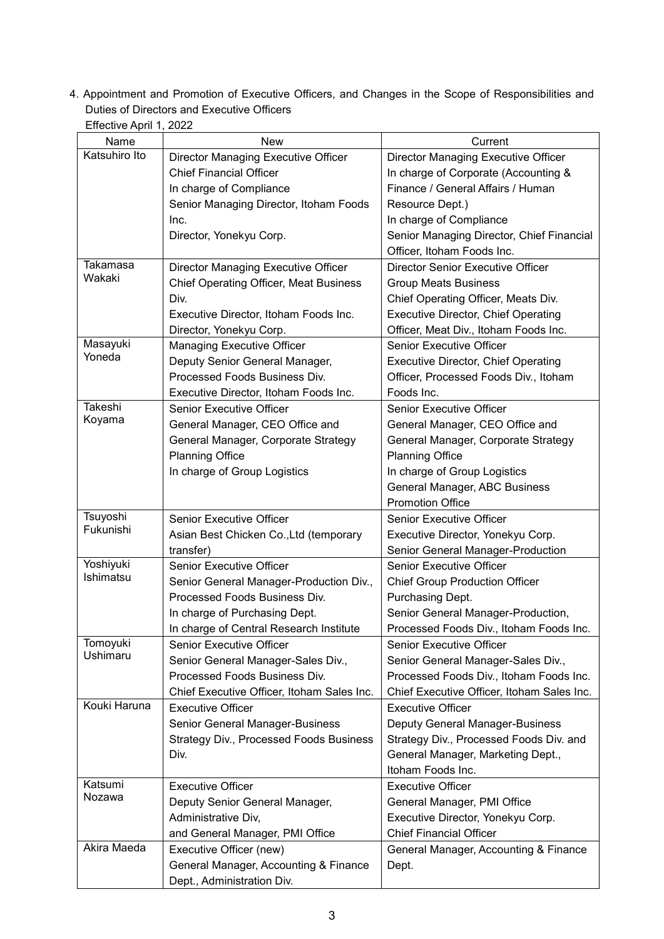4. Appointment and Promotion of Executive Officers, and Changes in the Scope of Responsibilities and Duties of Directors and Executive Officers Effective April 1, 2022

| Eliecuve April 1, ZUZZ |                                                                     |                                            |
|------------------------|---------------------------------------------------------------------|--------------------------------------------|
| Name                   | <b>New</b>                                                          | Current                                    |
| Katsuhiro Ito          | Director Managing Executive Officer                                 | Director Managing Executive Officer        |
|                        | <b>Chief Financial Officer</b>                                      | In charge of Corporate (Accounting &       |
|                        | In charge of Compliance                                             | Finance / General Affairs / Human          |
|                        | Senior Managing Director, Itoham Foods                              | Resource Dept.)                            |
|                        | Inc.                                                                | In charge of Compliance                    |
|                        | Director, Yonekyu Corp.                                             | Senior Managing Director, Chief Financial  |
|                        |                                                                     | Officer, Itoham Foods Inc.                 |
| Takamasa               | Director Managing Executive Officer                                 | Director Senior Executive Officer          |
| Wakaki                 | <b>Chief Operating Officer, Meat Business</b>                       | <b>Group Meats Business</b>                |
|                        | Div.                                                                | Chief Operating Officer, Meats Div.        |
|                        | Executive Director, Itoham Foods Inc.                               | <b>Executive Director, Chief Operating</b> |
|                        | Director, Yonekyu Corp.                                             | Officer, Meat Div., Itoham Foods Inc.      |
| Masayuki               | <b>Managing Executive Officer</b>                                   | <b>Senior Executive Officer</b>            |
| Yoneda                 | Deputy Senior General Manager,                                      | <b>Executive Director, Chief Operating</b> |
|                        | Processed Foods Business Div.                                       | Officer, Processed Foods Div., Itoham      |
|                        | Executive Director, Itoham Foods Inc.                               | Foods Inc.                                 |
| <b>Takeshi</b>         | <b>Senior Executive Officer</b>                                     | Senior Executive Officer                   |
| Koyama                 | General Manager, CEO Office and                                     | General Manager, CEO Office and            |
|                        | General Manager, Corporate Strategy                                 | General Manager, Corporate Strategy        |
|                        | <b>Planning Office</b>                                              | <b>Planning Office</b>                     |
|                        | In charge of Group Logistics                                        | In charge of Group Logistics               |
|                        |                                                                     | General Manager, ABC Business              |
|                        |                                                                     | <b>Promotion Office</b>                    |
| Tsuyoshi               | <b>Senior Executive Officer</b>                                     | <b>Senior Executive Officer</b>            |
| Fukunishi              | Asian Best Chicken Co., Ltd (temporary                              | Executive Director, Yonekyu Corp.          |
|                        | transfer)                                                           | Senior General Manager-Production          |
| Yoshiyuki              | <b>Senior Executive Officer</b>                                     | Senior Executive Officer                   |
| Ishimatsu              | Senior General Manager-Production Div.,                             | <b>Chief Group Production Officer</b>      |
|                        | Processed Foods Business Div.                                       | Purchasing Dept.                           |
|                        | In charge of Purchasing Dept.                                       | Senior General Manager-Production,         |
|                        | In charge of Central Research Institute                             | Processed Foods Div., Itoham Foods Inc.    |
| Tomoyuki               | <b>Senior Executive Officer</b>                                     | <b>Senior Executive Officer</b>            |
| Ushimaru               | Senior General Manager-Sales Div.,                                  | Senior General Manager-Sales Div.,         |
|                        | Processed Foods Business Div.                                       | Processed Foods Div., Itoham Foods Inc.    |
|                        |                                                                     |                                            |
|                        |                                                                     |                                            |
|                        | Chief Executive Officer, Itoham Sales Inc.                          | Chief Executive Officer, Itoham Sales Inc. |
| Kouki Haruna           | <b>Executive Officer</b>                                            | <b>Executive Officer</b>                   |
|                        | Senior General Manager-Business                                     | <b>Deputy General Manager-Business</b>     |
|                        | <b>Strategy Div., Processed Foods Business</b>                      | Strategy Div., Processed Foods Div. and    |
|                        | Div.                                                                | General Manager, Marketing Dept.,          |
|                        |                                                                     | Itoham Foods Inc.                          |
| Katsumi<br>Nozawa      | <b>Executive Officer</b>                                            | <b>Executive Officer</b>                   |
|                        | Deputy Senior General Manager,                                      | General Manager, PMI Office                |
|                        | Administrative Div,                                                 | Executive Director, Yonekyu Corp.          |
|                        | and General Manager, PMI Office                                     | <b>Chief Financial Officer</b>             |
| Akira Maeda            | Executive Officer (new)                                             | General Manager, Accounting & Finance      |
|                        | General Manager, Accounting & Finance<br>Dept., Administration Div. | Dept.                                      |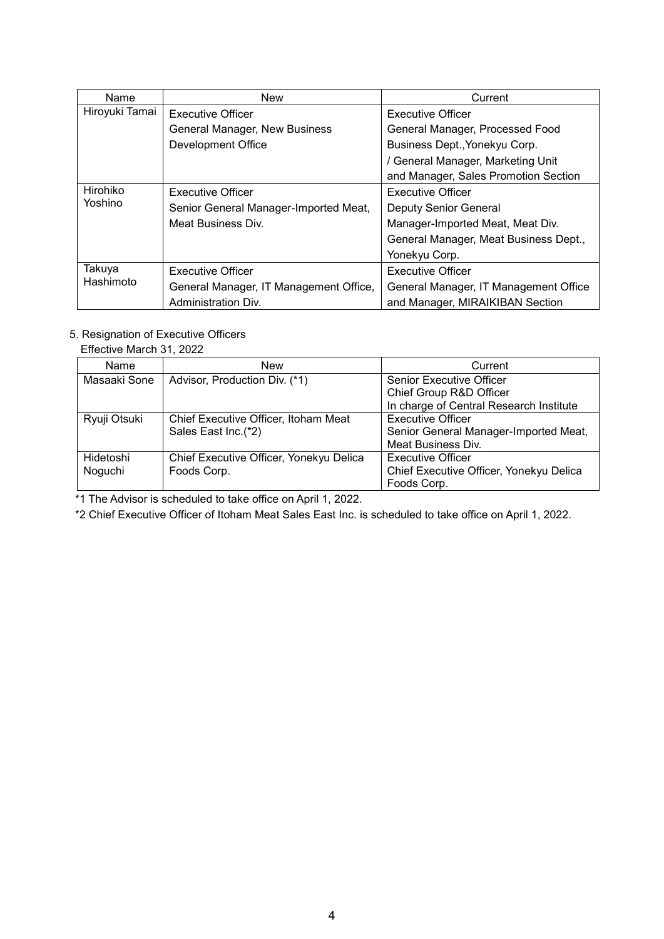| Name                | <b>New</b>                             | Current                               |
|---------------------|----------------------------------------|---------------------------------------|
| Hiroyuki Tamai      | <b>Executive Officer</b>               | <b>Executive Officer</b>              |
|                     | General Manager, New Business          | General Manager, Processed Food       |
|                     | Development Office                     | Business Dept., Yonekyu Corp.         |
|                     |                                        | / General Manager, Marketing Unit     |
|                     |                                        | and Manager, Sales Promotion Section  |
| Hirohiko            | <b>Executive Officer</b>               | <b>Executive Officer</b>              |
| Yoshino             | Senior General Manager-Imported Meat,  | <b>Deputy Senior General</b>          |
|                     | Meat Business Div.                     | Manager-Imported Meat, Meat Div.      |
|                     |                                        | General Manager, Meat Business Dept., |
|                     |                                        | Yonekyu Corp.                         |
| Takuya<br>Hashimoto | <b>Executive Officer</b>               | <b>Executive Officer</b>              |
|                     | General Manager, IT Management Office, | General Manager, IT Management Office |
|                     | Administration Div.                    | and Manager, MIRAIKIBAN Section       |

# 5. Resignation of Executive Officers

Effective March 31, 2022

| Name         | <b>New</b>                              | Current                                 |
|--------------|-----------------------------------------|-----------------------------------------|
| Masaaki Sone | Advisor, Production Div. (*1)           | <b>Senior Executive Officer</b>         |
|              |                                         | Chief Group R&D Officer                 |
|              |                                         | In charge of Central Research Institute |
| Ryuji Otsuki | Chief Executive Officer, Itoham Meat    | <b>Executive Officer</b>                |
|              | Sales East Inc.(*2)                     | Senior General Manager-Imported Meat,   |
|              |                                         | <b>Meat Business Div.</b>               |
| Hidetoshi    | Chief Executive Officer, Yonekyu Delica | <b>Executive Officer</b>                |
| Noguchi      | Foods Corp.                             | Chief Executive Officer, Yonekyu Delica |
|              |                                         | Foods Corp.                             |

\*1 The Advisor is scheduled to take office on April 1, 2022.

\*2 Chief Executive Officer of Itoham Meat Sales East Inc. is scheduled to take office on April 1, 2022.